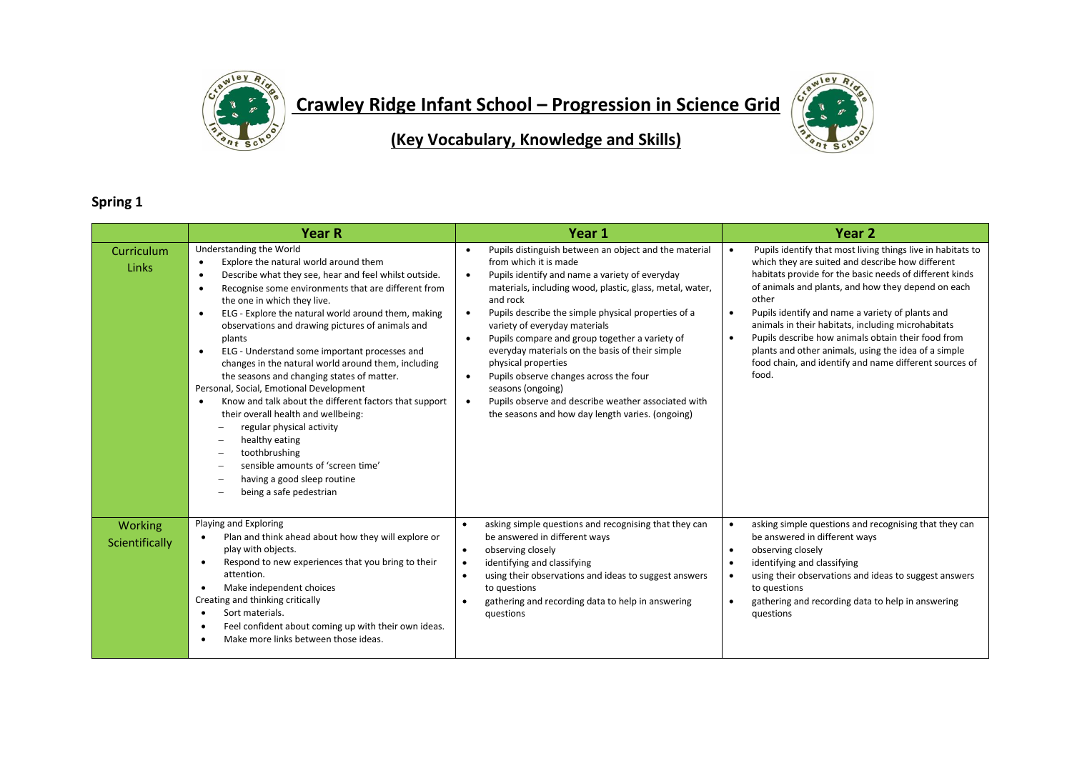

**Crawley Ridge Infant School – Progression in Science Grid** 



**(Key Vocabulary, Knowledge and Skills)**

## **Spring 1**

|                           | <b>Year R</b>                                                                                                                                                                                                                                                                                                                                                                                                                                                                                                                                                                                                                                                                                                                                                                                                                                                                                                                                                                          | Year 1                                                                                                                                                                                                                                                                                                                                                                                                                                                                                                                                                                                                                                                                               | Year <sub>2</sub>                                                                                                                                                                                                                                                                                                                                                                                                                                                                                                                                                           |
|---------------------------|----------------------------------------------------------------------------------------------------------------------------------------------------------------------------------------------------------------------------------------------------------------------------------------------------------------------------------------------------------------------------------------------------------------------------------------------------------------------------------------------------------------------------------------------------------------------------------------------------------------------------------------------------------------------------------------------------------------------------------------------------------------------------------------------------------------------------------------------------------------------------------------------------------------------------------------------------------------------------------------|--------------------------------------------------------------------------------------------------------------------------------------------------------------------------------------------------------------------------------------------------------------------------------------------------------------------------------------------------------------------------------------------------------------------------------------------------------------------------------------------------------------------------------------------------------------------------------------------------------------------------------------------------------------------------------------|-----------------------------------------------------------------------------------------------------------------------------------------------------------------------------------------------------------------------------------------------------------------------------------------------------------------------------------------------------------------------------------------------------------------------------------------------------------------------------------------------------------------------------------------------------------------------------|
| Curriculum<br>Links       | Understanding the World<br>Explore the natural world around them<br>$\bullet$<br>Describe what they see, hear and feel whilst outside.<br>$\bullet$<br>Recognise some environments that are different from<br>the one in which they live.<br>ELG - Explore the natural world around them, making<br>$\bullet$<br>observations and drawing pictures of animals and<br>plants<br>ELG - Understand some important processes and<br>$\bullet$<br>changes in the natural world around them, including<br>the seasons and changing states of matter.<br>Personal, Social, Emotional Development<br>Know and talk about the different factors that support<br>$\bullet$<br>their overall health and wellbeing:<br>regular physical activity<br>healthy eating<br>$\overline{\phantom{m}}$<br>toothbrushing<br>$\overline{\phantom{0}}$<br>sensible amounts of 'screen time'<br>$\overline{\phantom{a}}$<br>having a good sleep routine<br>$\overline{\phantom{0}}$<br>being a safe pedestrian | Pupils distinguish between an object and the material<br>$\bullet$<br>from which it is made<br>Pupils identify and name a variety of everyday<br>$\bullet$<br>materials, including wood, plastic, glass, metal, water,<br>and rock<br>Pupils describe the simple physical properties of a<br>$\bullet$<br>variety of everyday materials<br>Pupils compare and group together a variety of<br>$\bullet$<br>everyday materials on the basis of their simple<br>physical properties<br>Pupils observe changes across the four<br>$\bullet$<br>seasons (ongoing)<br>Pupils observe and describe weather associated with<br>$\bullet$<br>the seasons and how day length varies. (ongoing) | Pupils identify that most living things live in habitats to<br>$\bullet$<br>which they are suited and describe how different<br>habitats provide for the basic needs of different kinds<br>of animals and plants, and how they depend on each<br>other<br>Pupils identify and name a variety of plants and<br>$\bullet$<br>animals in their habitats, including microhabitats<br>Pupils describe how animals obtain their food from<br>$\bullet$<br>plants and other animals, using the idea of a simple<br>food chain, and identify and name different sources of<br>food. |
| Working<br>Scientifically | Playing and Exploring<br>Plan and think ahead about how they will explore or<br>$\bullet$<br>play with objects.<br>Respond to new experiences that you bring to their<br>$\bullet$<br>attention.<br>Make independent choices<br>$\bullet$<br>Creating and thinking critically<br>Sort materials.<br>$\bullet$<br>Feel confident about coming up with their own ideas.<br>$\bullet$<br>Make more links between those ideas.<br>$\bullet$                                                                                                                                                                                                                                                                                                                                                                                                                                                                                                                                                | asking simple questions and recognising that they can<br>be answered in different ways<br>observing closely<br>$\bullet$<br>identifying and classifying<br>using their observations and ideas to suggest answers<br>to questions<br>gathering and recording data to help in answering<br>questions                                                                                                                                                                                                                                                                                                                                                                                   | asking simple questions and recognising that they can<br>$\bullet$<br>be answered in different ways<br>observing closely<br>$\bullet$<br>identifying and classifying<br>using their observations and ideas to suggest answers<br>$\bullet$<br>to questions<br>gathering and recording data to help in answering<br>$\bullet$<br>questions                                                                                                                                                                                                                                   |